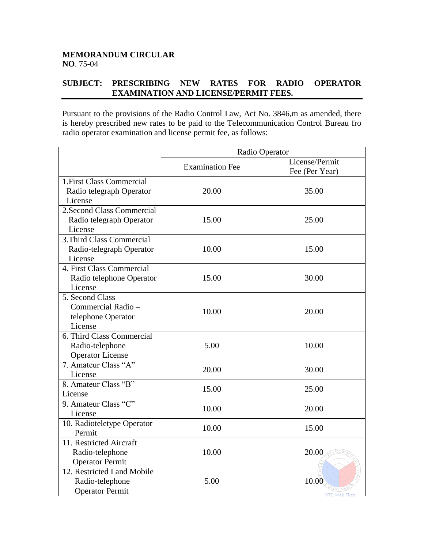## **MEMORANDUM CIRCULAR NO**. 75-04

## **SUBJECT: PRESCRIBING NEW RATES FOR RADIO OPERATOR EXAMINATION AND LICENSE/PERMIT FEES.**

Pursuant to the provisions of the Radio Control Law, Act No. 3846,m as amended, there is hereby prescribed new rates to be paid to the Telecommunication Control Bureau fro radio operator examination and license permit fee, as follows:

|                                                                         | Radio Operator         |                                  |
|-------------------------------------------------------------------------|------------------------|----------------------------------|
|                                                                         | <b>Examination Fee</b> | License/Permit<br>Fee (Per Year) |
| 1. First Class Commercial<br>Radio telegraph Operator<br>License        | 20.00                  | 35.00                            |
| 2. Second Class Commercial<br>Radio telegraph Operator<br>License       | 15.00                  | 25.00                            |
| 3. Third Class Commercial<br>Radio-telegraph Operator<br>License        | 10.00                  | 15.00                            |
| 4. First Class Commercial<br>Radio telephone Operator<br>License        | 15.00                  | 30.00                            |
| 5. Second Class<br>Commercial Radio -<br>telephone Operator<br>License  | 10.00                  | 20.00                            |
| 6. Third Class Commercial<br>Radio-telephone<br><b>Operator License</b> | 5.00                   | 10.00                            |
| 7. Amateur Class "A"<br>License                                         | 20.00                  | 30.00                            |
| 8. Amateur Class "B"<br>License                                         | 15.00                  | 25.00                            |
| 9. Amateur Class "C"<br>License                                         | 10.00                  | 20.00                            |
| 10. Radioteletype Operator<br>Permit                                    | 10.00                  | 15.00                            |
| 11. Restricted Aircraft<br>Radio-telephone<br><b>Operator Permit</b>    | 10.00                  | 20.00                            |
| 12. Restricted Land Mobile<br>Radio-telephone<br><b>Operator Permit</b> | 5.00                   | 10.00                            |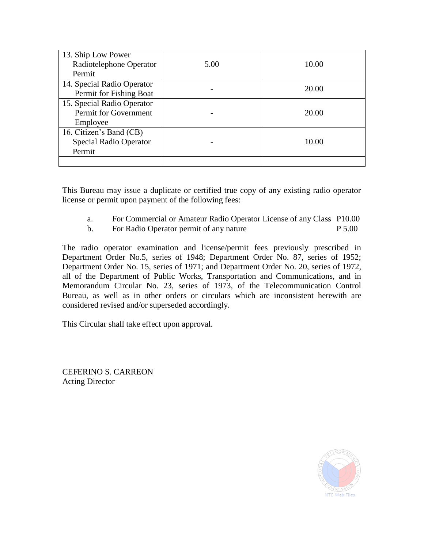| 13. Ship Low Power<br>Radiotelephone Operator<br>Permit         | 5.00 | 10.00 |
|-----------------------------------------------------------------|------|-------|
| 14. Special Radio Operator<br>Permit for Fishing Boat           |      | 20.00 |
| 15. Special Radio Operator<br>Permit for Government<br>Employee |      | 20.00 |
| 16. Citizen's Band (CB)<br>Special Radio Operator<br>Permit     |      | 10.00 |
|                                                                 |      |       |

This Bureau may issue a duplicate or certified true copy of any existing radio operator license or permit upon payment of the following fees:

- a. For Commercial or Amateur Radio Operator License of any Class P10.00
- b. For Radio Operator permit of any nature P 5.00

The radio operator examination and license/permit fees previously prescribed in Department Order No.5, series of 1948; Department Order No. 87, series of 1952; Department Order No. 15, series of 1971; and Department Order No. 20, series of 1972, all of the Department of Public Works, Transportation and Communications, and in Memorandum Circular No. 23, series of 1973, of the Telecommunication Control Bureau, as well as in other orders or circulars which are inconsistent herewith are considered revised and/or superseded accordingly.

This Circular shall take effect upon approval.

CEFERINO S. CARREON Acting Director